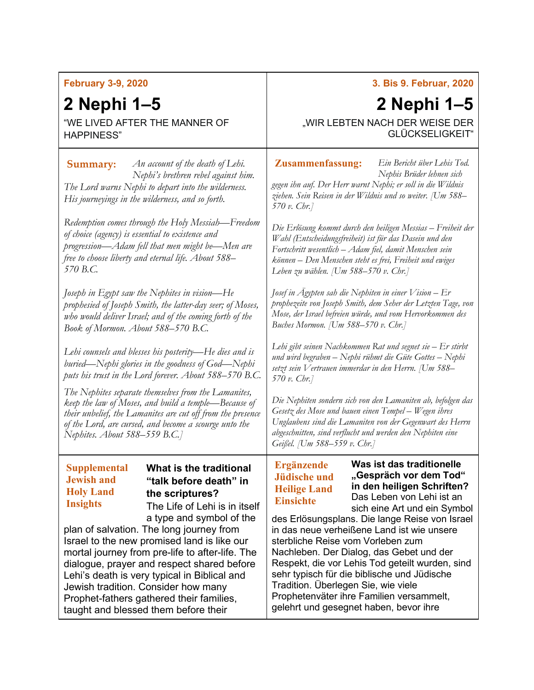## **February 3-9, 2020**

## **2 Nephi 1–5**

"WE LIVED AFTER THE MANNER OF HAPPINESS"

*An account of the death of Lehi.*  **Summary: Zusammenfassung:** *Nephi's brethren rebel against him. The Lord warns Nephi to depart into the wilderness. His journeyings in the wilderness, and so forth.*

*Redemption comes through the Holy Messiah—Freedom of choice (agency) is essential to existence and progression—Adam fell that men might be—Men are free to choose liberty and eternal life. About 588– 570 B.C.*

*Joseph in Egypt saw the Nephites in vision—He prophesied of Joseph Smith, the latter-day seer; of Moses, who would deliver Israel; and of the coming forth of the Book of Mormon. About 588–570 B.C.*

*Lehi counsels and blesses his posterity—He dies and is buried—Nephi glories in the goodness of God—Nephi puts his trust in the Lord forever. About 588–570 B.C.*

*The Nephites separate themselves from the Lamanites, keep the law of Moses, and build a temple—Because of their unbelief, the Lamanites are cut off from the presence of the Lord, are cursed, and become a scourge unto the Nephites. About 588–559 B.C.]*

## **Supplemental Jewish and Holy Land Insights**

## **What is the traditional "talk before death" in the scriptures?** The Life of Lehi is in itself

a type and symbol of the

plan of salvation. The long journey from Israel to the new promised land is like our mortal journey from pre-life to after-life. The dialogue, prayer and respect shared before Lehi's death is very typical in Biblical and Jewish tradition. Consider how many Prophet-fathers gathered their families, taught and blessed them before their

## **3. Bis 9. Februar, 2020**

# **2 Nephi 1–5**

*Ein Bericht über Lehis Tod.* 

"WIR LEBTEN NACH DER WEISE DER GLÜCKSELIGKEIT"

*Nephis Brüder lehnen sich gegen ihn auf. Der Herr warnt Nephi; er soll in die Wildnis ziehen. Sein Reisen in der Wildnis und so weiter. [Um 588– 570 v. Chr.]*

*Die Erlösung kommt durch den heiligen Messias – Freiheit der Wahl (Entscheidungsfreiheit) ist für das Dasein und den Fortschritt wesentlich – Adam fiel, damit Menschen sein können – Den Menschen steht es frei, Freiheit und ewiges Leben zu wählen. [Um 588–570 v. Chr.]*

*Josef in Ägypten sah die Nephiten in einer Vision – Er prophezeite von Joseph Smith, dem Seher der Letzten Tage, von Mose, der Israel befreien würde, und vom Hervorkommen des Buches Mormon. [Um 588–570 v. Chr.]*

*Lehi gibt seinen Nachkommen Rat und segnet sie – Er stirbt und wird begraben – Nephi rühmt die Güte Gottes – Nephi setzt sein Vertrauen immerdar in den Herrn. [Um 588– 570 v. Chr.]*

*Die Nephiten sondern sich von den Lamaniten ab, befolgen das Gesetz des Mose und bauen einen Tempel – Wegen ihres Unglaubens sind die Lamaniten von der Gegenwart des Herrn abgeschnitten, sind verflucht und werden den Nephiten eine Geißel. [Um 588–559 v. Chr.]*

## **Ergänzende Jüdische und Heilige Land Einsichte**

**Was ist das traditionelle "Gespräch vor dem Tod" in den heiligen Schriften?** Das Leben von Lehi ist an sich eine Art und ein Symbol

des Erlösungsplans. Die lange Reise von Israel in das neue verheißene Land ist wie unsere sterbliche Reise vom Vorleben zum Nachleben. Der Dialog, das Gebet und der Respekt, die vor Lehis Tod geteilt wurden, sind sehr typisch für die biblische und Jüdische Tradition. Überlegen Sie, wie viele Prophetenväter ihre Familien versammelt, gelehrt und gesegnet haben, bevor ihre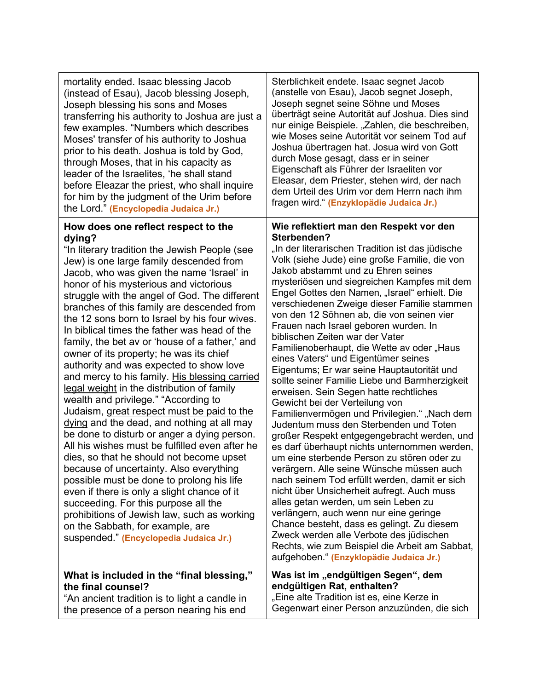| mortality ended. Isaac blessing Jacob                                                                                                                                                                                                                                                                                                                                                                                                                                                                                                                                                                                                                                                                           | Sterblichkeit endete. Isaac segnet Jacob                                                                                                                                                                                                                                                                                                                                                                                                                                                                                                                                                                                                                                                                                                   |
|-----------------------------------------------------------------------------------------------------------------------------------------------------------------------------------------------------------------------------------------------------------------------------------------------------------------------------------------------------------------------------------------------------------------------------------------------------------------------------------------------------------------------------------------------------------------------------------------------------------------------------------------------------------------------------------------------------------------|--------------------------------------------------------------------------------------------------------------------------------------------------------------------------------------------------------------------------------------------------------------------------------------------------------------------------------------------------------------------------------------------------------------------------------------------------------------------------------------------------------------------------------------------------------------------------------------------------------------------------------------------------------------------------------------------------------------------------------------------|
| (instead of Esau), Jacob blessing Joseph,                                                                                                                                                                                                                                                                                                                                                                                                                                                                                                                                                                                                                                                                       | (anstelle von Esau), Jacob segnet Joseph,                                                                                                                                                                                                                                                                                                                                                                                                                                                                                                                                                                                                                                                                                                  |
| Joseph blessing his sons and Moses                                                                                                                                                                                                                                                                                                                                                                                                                                                                                                                                                                                                                                                                              | Joseph segnet seine Söhne und Moses                                                                                                                                                                                                                                                                                                                                                                                                                                                                                                                                                                                                                                                                                                        |
| transferring his authority to Joshua are just a                                                                                                                                                                                                                                                                                                                                                                                                                                                                                                                                                                                                                                                                 | überträgt seine Autorität auf Joshua. Dies sind                                                                                                                                                                                                                                                                                                                                                                                                                                                                                                                                                                                                                                                                                            |
| few examples. "Numbers which describes                                                                                                                                                                                                                                                                                                                                                                                                                                                                                                                                                                                                                                                                          | nur einige Beispiele. "Zahlen, die beschreiben,                                                                                                                                                                                                                                                                                                                                                                                                                                                                                                                                                                                                                                                                                            |
| Moses' transfer of his authority to Joshua                                                                                                                                                                                                                                                                                                                                                                                                                                                                                                                                                                                                                                                                      | wie Moses seine Autorität vor seinem Tod auf                                                                                                                                                                                                                                                                                                                                                                                                                                                                                                                                                                                                                                                                                               |
| prior to his death. Joshua is told by God,                                                                                                                                                                                                                                                                                                                                                                                                                                                                                                                                                                                                                                                                      | Joshua übertragen hat. Josua wird von Gott                                                                                                                                                                                                                                                                                                                                                                                                                                                                                                                                                                                                                                                                                                 |
| through Moses, that in his capacity as                                                                                                                                                                                                                                                                                                                                                                                                                                                                                                                                                                                                                                                                          | durch Mose gesagt, dass er in seiner                                                                                                                                                                                                                                                                                                                                                                                                                                                                                                                                                                                                                                                                                                       |
| leader of the Israelites, 'he shall stand                                                                                                                                                                                                                                                                                                                                                                                                                                                                                                                                                                                                                                                                       | Eigenschaft als Führer der Israeliten vor                                                                                                                                                                                                                                                                                                                                                                                                                                                                                                                                                                                                                                                                                                  |
| before Eleazar the priest, who shall inquire                                                                                                                                                                                                                                                                                                                                                                                                                                                                                                                                                                                                                                                                    | Eleasar, dem Priester, stehen wird, der nach                                                                                                                                                                                                                                                                                                                                                                                                                                                                                                                                                                                                                                                                                               |
| for him by the judgment of the Urim before                                                                                                                                                                                                                                                                                                                                                                                                                                                                                                                                                                                                                                                                      | dem Urteil des Urim vor dem Herrn nach ihm                                                                                                                                                                                                                                                                                                                                                                                                                                                                                                                                                                                                                                                                                                 |
| the Lord." (Encyclopedia Judaica Jr.)                                                                                                                                                                                                                                                                                                                                                                                                                                                                                                                                                                                                                                                                           | fragen wird." (Enzyklopädie Judaica Jr.)                                                                                                                                                                                                                                                                                                                                                                                                                                                                                                                                                                                                                                                                                                   |
| How does one reflect respect to the<br>dying?<br>"In literary tradition the Jewish People (see<br>Jew) is one large family descended from<br>Jacob, who was given the name 'Israel' in<br>honor of his mysterious and victorious<br>struggle with the angel of God. The different<br>branches of this family are descended from<br>the 12 sons born to Israel by his four wives.<br>In biblical times the father was head of the<br>family, the bet av or 'house of a father,' and<br>owner of its property; he was its chief<br>authority and was expected to show love<br>and mercy to his family. His blessing carried<br>legal weight in the distribution of family<br>wealth and privilege." "According to | Wie reflektiert man den Respekt vor den<br>Sterbenden?<br>"In der literarischen Tradition ist das jüdische<br>Volk (siehe Jude) eine große Familie, die von<br>Jakob abstammt und zu Ehren seines<br>mysteriösen und siegreichen Kampfes mit dem<br>Engel Gottes den Namen, "Israel" erhielt. Die<br>verschiedenen Zweige dieser Familie stammen<br>von den 12 Söhnen ab, die von seinen vier<br>Frauen nach Israel geboren wurden. In<br>biblischen Zeiten war der Vater<br>Familienoberhaupt, die Wette av oder "Haus<br>eines Vaters" und Eigentümer seines<br>Eigentums; Er war seine Hauptautorität und<br>sollte seiner Familie Liebe und Barmherzigkeit<br>erweisen. Sein Segen hatte rechtliches<br>Gewicht bei der Verteilung von |
| Judaism, great respect must be paid to the                                                                                                                                                                                                                                                                                                                                                                                                                                                                                                                                                                                                                                                                      | Familienvermögen und Privilegien." "Nach dem                                                                                                                                                                                                                                                                                                                                                                                                                                                                                                                                                                                                                                                                                               |
| dying and the dead, and nothing at all may                                                                                                                                                                                                                                                                                                                                                                                                                                                                                                                                                                                                                                                                      | Judentum muss den Sterbenden und Toten                                                                                                                                                                                                                                                                                                                                                                                                                                                                                                                                                                                                                                                                                                     |
| be done to disturb or anger a dying person.                                                                                                                                                                                                                                                                                                                                                                                                                                                                                                                                                                                                                                                                     | großer Respekt entgegengebracht werden, und                                                                                                                                                                                                                                                                                                                                                                                                                                                                                                                                                                                                                                                                                                |

be done to disturb or anger a dying person. All his wishes must be fulfilled even after he dies, so that he should not become upset because of uncertainty. Also everything possible must be done to prolong his life even if there is only a slight chance of it succeeding. For this purpose all the prohibitions of Jewish law, such as working on the Sabbath, for example, are suspended." **(Encyclopedia Judaica Jr.)**

### aufgehoben." **(Enzyklopädie Judaica Jr.) What is included in the "final blessing," the final counsel?** "An ancient tradition is to light a candle in the presence of a person nearing his end Was ist im "endgültigen Segen", dem **endgültigen Rat, enthalten?** "Eine alte Tradition ist es, eine Kerze in Gegenwart einer Person anzuzünden, die sich

es darf überhaupt nichts unternommen werden, um eine sterbende Person zu stören oder zu verärgern. Alle seine Wünsche müssen auch nach seinem Tod erfüllt werden, damit er sich nicht über Unsicherheit aufregt. Auch muss alles getan werden, um sein Leben zu verlängern, auch wenn nur eine geringe Chance besteht, dass es gelingt. Zu diesem Zweck werden alle Verbote des jüdischen Rechts, wie zum Beispiel die Arbeit am Sabbat,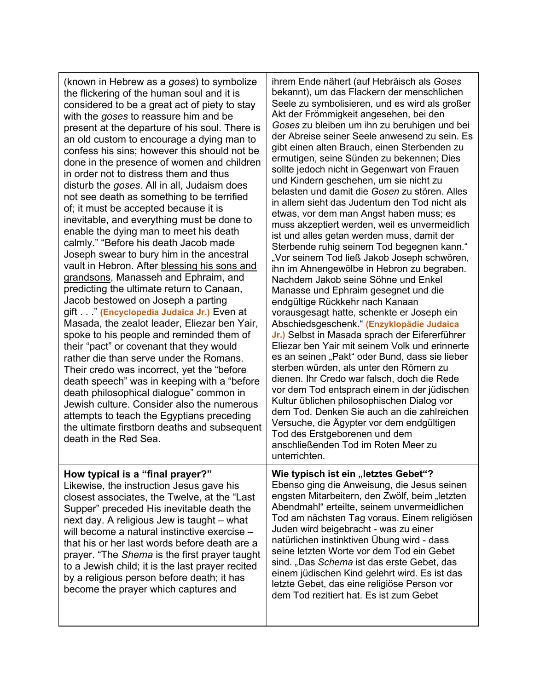(known in Hebrew as a *goses*) to symbolize the flickering of the human soul and it is considered to be a great act of piety to stay with the *goses* to reassure him and be present at the departure of his soul. There is an old custom to encourage a dying man to confess his sins; however this should not be done in the presence of women and children in order not to distress them and thus disturb the *goses*. All in all, Judaism does not see death as something to be terrified of; it must be accepted because it is inevitable, and everything must be done to enable the dying man to meet his death calmly." "Before his death Jacob made Joseph swear to bury him in the ancestral vault in Hebron. After blessing his sons and grandsons, Manasseh and Ephraim, and predicting the ultimate return to Canaan, Jacob bestowed on Joseph a parting gift . . ." **(Encyclopedia Judaica Jr.)** Even at Masada, the zealot leader, Eliezar ben Yair, spoke to his people and reminded them of their "pact" or covenant that they would rather die than serve under the Romans. Their credo was incorrect, yet the "before death speech" was in keeping with a "before death philosophical dialogue" common in Jewish culture. Consider also the numerous attempts to teach the Egyptians preceding the ultimate firstborn deaths and subsequent death in the Red Sea. **How typical is a "final prayer?"** Likewise, the instruction Jesus gave his closest associates, the Twelve, at the "Last Supper" preceded His inevitable death the next day. A religious Jew is taught – what will become a natural instinctive exercise – that his or her last words before death are a prayer. "The *Shema* is the first prayer taught to a Jewish child; it is the last prayer recited

by a religious person before death; it has become the prayer which captures and

ihrem Ende nähert (auf Hebräisch als *Goses* bekannt), um das Flackern der menschlichen Seele zu symbolisieren, und es wird als großer Akt der Frömmigkeit angesehen, bei den *Goses* zu bleiben um ihn zu beruhigen und bei der Abreise seiner Seele anwesend zu sein. Es gibt einen alten Brauch, einen Sterbenden zu ermutigen, seine Sünden zu bekennen; Dies sollte jedoch nicht in Gegenwart von Frauen und Kindern geschehen, um sie nicht zu belasten und damit die *Gosen* zu stören. Alles in allem sieht das Judentum den Tod nicht als etwas, vor dem man Angst haben muss; es muss akzeptiert werden, weil es unvermeidlich ist und alles getan werden muss, damit der Sterbende ruhig seinem Tod begegnen kann." "Vor seinem Tod ließ Jakob Joseph schwören, ihn im Ahnengewölbe in Hebron zu begraben. Nachdem Jakob seine Söhne und Enkel Manasse und Ephraim gesegnet und die endgültige Rückkehr nach Kanaan vorausgesagt hatte, schenkte er Joseph ein Abschiedsgeschenk." **(Enzyklopädie Judaica Jr.)** Selbst in Masada sprach der Eifererführer Eliezar ben Yair mit seinem Volk und erinnerte es an seinen "Pakt" oder Bund, dass sie lieber sterben würden, als unter den Römern zu dienen. Ihr Credo war falsch, doch die Rede vor dem Tod entsprach einem in der jüdischen Kultur üblichen philosophischen Dialog vor dem Tod. Denken Sie auch an die zahlreichen Versuche, die Ägypter vor dem endgültigen Tod des Erstgeborenen und dem anschließenden Tod im Roten Meer zu unterrichten.

**Wie typisch ist ein "letztes Gebet"?** Ebenso ging die Anweisung, die Jesus seinen engsten Mitarbeitern, den Zwölf, beim "letzten Abendmahl" erteilte, seinem unvermeidlichen Tod am nächsten Tag voraus. Einem religiösen Juden wird beigebracht - was zu einer natürlichen instinktiven Übung wird - dass seine letzten Worte vor dem Tod ein Gebet sind. "Das *Schema* ist das erste Gebet, das einem jüdischen Kind gelehrt wird. Es ist das letzte Gebet, das eine religiöse Person vor dem Tod rezitiert hat. Es ist zum Gebet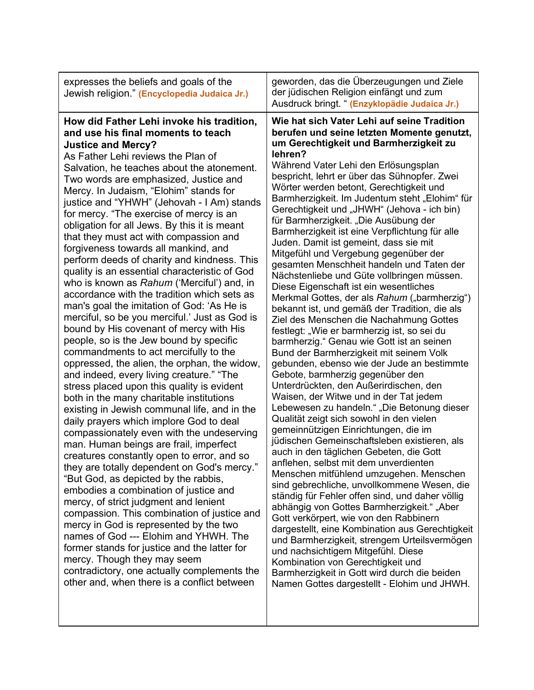| expresses the beliefs and goals of the<br>Jewish religion." (Encyclopedia Judaica Jr.)                                                                                                                                                                                                                                                                                                                                                                                                                                                                                                                                                                                                                                                                                                                                                                                                                                                                                                                                                                                                                                                                                                                                                                                                                                                                                                                                                                                                                                                                                                                                                                                                                                                                                                                                                                  | geworden, das die Überzeugungen und Ziele<br>der jüdischen Religion einfängt und zum<br>Ausdruck bringt. " (Enzyklopädie Judaica Jr.)                                                                                                                                                                                                                                                                                                                                                                                                                                                                                                                                                                                                                                                                                                                                                                                                                                                                                                                                                                                                                                                                                                                                                                                                                                                                                                                                                                                                                                                                                                                                                                                                                                                                                                                                                                                                                   |
|---------------------------------------------------------------------------------------------------------------------------------------------------------------------------------------------------------------------------------------------------------------------------------------------------------------------------------------------------------------------------------------------------------------------------------------------------------------------------------------------------------------------------------------------------------------------------------------------------------------------------------------------------------------------------------------------------------------------------------------------------------------------------------------------------------------------------------------------------------------------------------------------------------------------------------------------------------------------------------------------------------------------------------------------------------------------------------------------------------------------------------------------------------------------------------------------------------------------------------------------------------------------------------------------------------------------------------------------------------------------------------------------------------------------------------------------------------------------------------------------------------------------------------------------------------------------------------------------------------------------------------------------------------------------------------------------------------------------------------------------------------------------------------------------------------------------------------------------------------|---------------------------------------------------------------------------------------------------------------------------------------------------------------------------------------------------------------------------------------------------------------------------------------------------------------------------------------------------------------------------------------------------------------------------------------------------------------------------------------------------------------------------------------------------------------------------------------------------------------------------------------------------------------------------------------------------------------------------------------------------------------------------------------------------------------------------------------------------------------------------------------------------------------------------------------------------------------------------------------------------------------------------------------------------------------------------------------------------------------------------------------------------------------------------------------------------------------------------------------------------------------------------------------------------------------------------------------------------------------------------------------------------------------------------------------------------------------------------------------------------------------------------------------------------------------------------------------------------------------------------------------------------------------------------------------------------------------------------------------------------------------------------------------------------------------------------------------------------------------------------------------------------------------------------------------------------------|
| How did Father Lehi invoke his tradition,<br>and use his final moments to teach<br><b>Justice and Mercy?</b><br>As Father Lehi reviews the Plan of<br>Salvation, he teaches about the atonement.<br>Two words are emphasized, Justice and<br>Mercy. In Judaism, "Elohim" stands for<br>justice and "YHWH" (Jehovah - I Am) stands<br>for mercy. "The exercise of mercy is an<br>obligation for all Jews. By this it is meant<br>that they must act with compassion and<br>forgiveness towards all mankind, and<br>perform deeds of charity and kindness. This<br>quality is an essential characteristic of God<br>who is known as Rahum ('Merciful') and, in<br>accordance with the tradition which sets as<br>man's goal the imitation of God: 'As He is<br>merciful, so be you merciful.' Just as God is<br>bound by His covenant of mercy with His<br>people, so is the Jew bound by specific<br>commandments to act mercifully to the<br>oppressed, the alien, the orphan, the widow,<br>and indeed, every living creature." "The<br>stress placed upon this quality is evident<br>both in the many charitable institutions<br>existing in Jewish communal life, and in the<br>daily prayers which implore God to deal<br>compassionately even with the undeserving<br>man. Human beings are frail, imperfect<br>creatures constantly open to error, and so<br>they are totally dependent on God's mercy.'<br>"But God, as depicted by the rabbis,<br>embodies a combination of justice and<br>mercy, of strict judgment and lenient<br>compassion. This combination of justice and<br>mercy in God is represented by the two<br>names of God --- Elohim and YHWH. The<br>former stands for justice and the latter for<br>mercy. Though they may seem<br>contradictory, one actually complements the<br>other and, when there is a conflict between | Wie hat sich Vater Lehi auf seine Tradition<br>berufen und seine letzten Momente genutzt,<br>um Gerechtigkeit und Barmherzigkeit zu<br>lehren?<br>Während Vater Lehi den Erlösungsplan<br>bespricht, lehrt er über das Sühnopfer. Zwei<br>Wörter werden betont, Gerechtigkeit und<br>Barmherzigkeit. Im Judentum steht "Elohim" für<br>Gerechtigkeit und "JHWH" (Jehova - ich bin)<br>für Barmherzigkeit. "Die Ausübung der<br>Barmherzigkeit ist eine Verpflichtung für alle<br>Juden. Damit ist gemeint, dass sie mit<br>Mitgefühl und Vergebung gegenüber der<br>gesamten Menschheit handeln und Taten der<br>Nächstenliebe und Güte vollbringen müssen.<br>Diese Eigenschaft ist ein wesentliches<br>Merkmal Gottes, der als Rahum ("barmherzig")<br>bekannt ist, und gemäß der Tradition, die als<br>Ziel des Menschen die Nachahmung Gottes<br>festlegt: "Wie er barmherzig ist, so sei du<br>barmherzig." Genau wie Gott ist an seinen<br>Bund der Barmherzigkeit mit seinem Volk<br>gebunden, ebenso wie der Jude an bestimmte<br>Gebote, barmherzig gegenüber den<br>Unterdrückten, den Außerirdischen, den<br>Waisen, der Witwe und in der Tat jedem<br>Lebewesen zu handeln." "Die Betonung dieser<br>Qualität zeigt sich sowohl in den vielen<br>gemeinnützigen Einrichtungen, die im<br>jüdischen Gemeinschaftsleben existieren, als<br>auch in den täglichen Gebeten, die Gott<br>anflehen, selbst mit dem unverdienten<br>Menschen mitfühlend umzugehen. Menschen<br>sind gebrechliche, unvollkommene Wesen, die<br>ständig für Fehler offen sind, und daher völlig<br>abhängig von Gottes Barmherzigkeit." "Aber<br>Gott verkörpert, wie von den Rabbinern<br>dargestellt, eine Kombination aus Gerechtigkeit<br>und Barmherzigkeit, strengem Urteilsvermögen<br>und nachsichtigem Mitgefühl. Diese<br>Kombination von Gerechtigkeit und<br>Barmherzigkeit in Gott wird durch die beiden<br>Namen Gottes dargestellt - Elohim und JHWH. |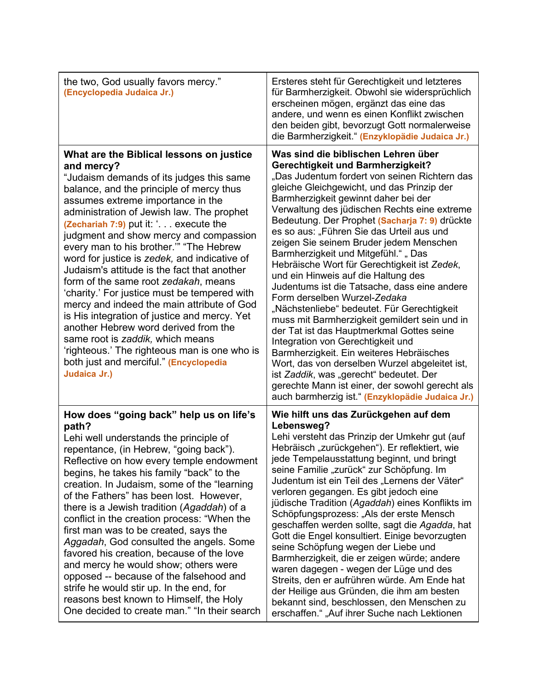| the two, God usually favors mercy."<br>(Encyclopedia Judaica Jr.)                                                                                                                                                                                                                                                                                                                                                                                                                                                                                                                                                                                                                                                                                                                                                                          | Ersteres steht für Gerechtigkeit und letzteres<br>für Barmherzigkeit. Obwohl sie widersprüchlich<br>erscheinen mögen, ergänzt das eine das<br>andere, und wenn es einen Konflikt zwischen<br>den beiden gibt, bevorzugt Gott normalerweise<br>die Barmherzigkeit." (Enzyklopädie Judaica Jr.)                                                                                                                                                                                                                                                                                                                                                                                                                                                                                                                                                                                                                                                                                                                                                             |
|--------------------------------------------------------------------------------------------------------------------------------------------------------------------------------------------------------------------------------------------------------------------------------------------------------------------------------------------------------------------------------------------------------------------------------------------------------------------------------------------------------------------------------------------------------------------------------------------------------------------------------------------------------------------------------------------------------------------------------------------------------------------------------------------------------------------------------------------|-----------------------------------------------------------------------------------------------------------------------------------------------------------------------------------------------------------------------------------------------------------------------------------------------------------------------------------------------------------------------------------------------------------------------------------------------------------------------------------------------------------------------------------------------------------------------------------------------------------------------------------------------------------------------------------------------------------------------------------------------------------------------------------------------------------------------------------------------------------------------------------------------------------------------------------------------------------------------------------------------------------------------------------------------------------|
| What are the Biblical lessons on justice<br>and mercy?<br>"Judaism demands of its judges this same<br>balance, and the principle of mercy thus<br>assumes extreme importance in the<br>administration of Jewish law. The prophet<br>(Zechariah 7:9) put it: '. execute the<br>judgment and show mercy and compassion<br>every man to his brother."" "The Hebrew<br>word for justice is zedek, and indicative of<br>Judaism's attitude is the fact that another<br>form of the same root zedakah, means<br>'charity.' For justice must be tempered with<br>mercy and indeed the main attribute of God<br>is His integration of justice and mercy. Yet<br>another Hebrew word derived from the<br>same root is zaddik, which means<br>'righteous.' The righteous man is one who is<br>both just and merciful." (Encyclopedia<br>Judaica Jr.) | Was sind die biblischen Lehren über<br>Gerechtigkeit und Barmherzigkeit?<br>"Das Judentum fordert von seinen Richtern das<br>gleiche Gleichgewicht, und das Prinzip der<br>Barmherzigkeit gewinnt daher bei der<br>Verwaltung des jüdischen Rechts eine extreme<br>Bedeutung. Der Prophet (Sacharja 7: 9) drückte<br>es so aus: "Führen Sie das Urteil aus und<br>zeigen Sie seinem Bruder jedem Menschen<br>Barmherzigkeit und Mitgefühl.", Das<br>Hebräische Wort für Gerechtigkeit ist Zedek,<br>und ein Hinweis auf die Haltung des<br>Judentums ist die Tatsache, dass eine andere<br>Form derselben Wurzel-Zedaka<br>"Nächstenliebe" bedeutet. Für Gerechtigkeit<br>muss mit Barmherzigkeit gemildert sein und in<br>der Tat ist das Hauptmerkmal Gottes seine<br>Integration von Gerechtigkeit und<br>Barmherzigkeit. Ein weiteres Hebräisches<br>Wort, das von derselben Wurzel abgeleitet ist,<br>ist Zaddik, was "gerecht" bedeutet. Der<br>gerechte Mann ist einer, der sowohl gerecht als<br>auch barmherzig ist." (Enzyklopädie Judaica Jr.) |
| How does "going back" help us on life's<br>path?<br>Lehi well understands the principle of<br>repentance, (in Hebrew, "going back").<br>Reflective on how every temple endowment<br>begins, he takes his family "back" to the<br>creation. In Judaism, some of the "learning<br>of the Fathers" has been lost. However,<br>there is a Jewish tradition (Agaddah) of a<br>conflict in the creation process: "When the<br>first man was to be created, says the<br>Aggadah, God consulted the angels. Some<br>favored his creation, because of the love<br>and mercy he would show; others were<br>opposed -- because of the falsehood and<br>strife he would stir up. In the end, for<br>reasons best known to Himself, the Holy<br>One decided to create man." "In their search                                                            | Wie hilft uns das Zurückgehen auf dem<br>Lebensweg?<br>Lehi versteht das Prinzip der Umkehr gut (auf<br>Hebräisch "zurückgehen"). Er reflektiert, wie<br>jede Tempelausstattung beginnt, und bringt<br>seine Familie "zurück" zur Schöpfung. Im<br>Judentum ist ein Teil des "Lernens der Väter"<br>verloren gegangen. Es gibt jedoch eine<br>jüdische Tradition (Agaddah) eines Konflikts im<br>Schöpfungsprozess: "Als der erste Mensch<br>geschaffen werden sollte, sagt die Agadda, hat<br>Gott die Engel konsultiert. Einige bevorzugten<br>seine Schöpfung wegen der Liebe und<br>Barmherzigkeit, die er zeigen würde; andere<br>waren dagegen - wegen der Lüge und des<br>Streits, den er aufrühren würde. Am Ende hat<br>der Heilige aus Gründen, die ihm am besten<br>bekannt sind, beschlossen, den Menschen zu<br>erschaffen." "Auf ihrer Suche nach Lektionen                                                                                                                                                                                 |